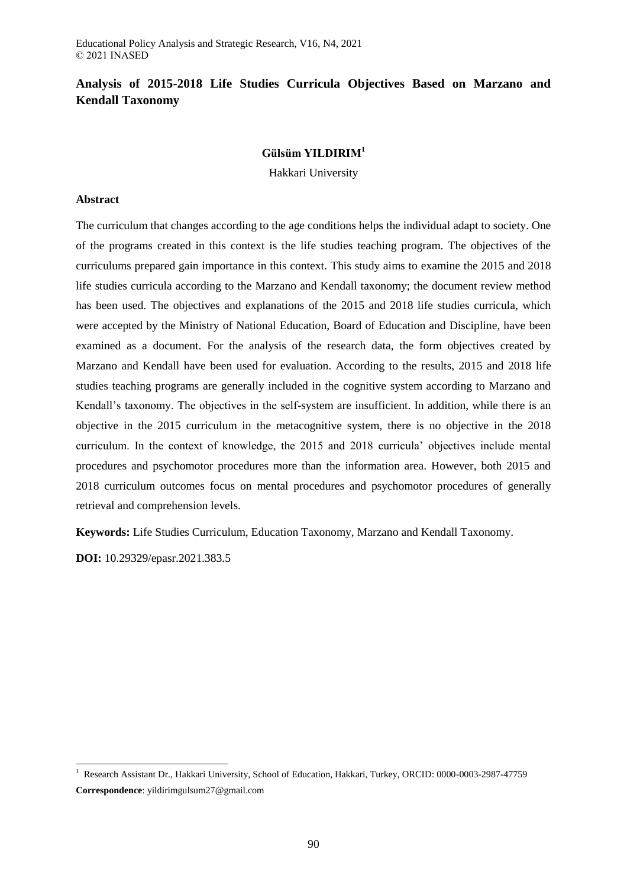# **Analysis of 2015-2018 Life Studies Curricula Objectives Based on Marzano and Kendall Taxonomy**

# **Gülsüm YILDIRIM<sup>1</sup>**

Hakkari University

## **Abstract**

The curriculum that changes according to the age conditions helps the individual adapt to society. One of the programs created in this context is the life studies teaching program. The objectives of the curriculums prepared gain importance in this context. This study aims to examine the 2015 and 2018 life studies curricula according to the Marzano and Kendall taxonomy; the document review method has been used. The objectives and explanations of the 2015 and 2018 life studies curricula, which were accepted by the Ministry of National Education, Board of Education and Discipline, have been examined as a document. For the analysis of the research data, the form objectives created by Marzano and Kendall have been used for evaluation. According to the results, 2015 and 2018 life studies teaching programs are generally included in the cognitive system according to Marzano and Kendall's taxonomy. The objectives in the self-system are insufficient. In addition, while there is an objective in the 2015 curriculum in the metacognitive system, there is no objective in the 2018 curriculum. In the context of knowledge, the 2015 and 2018 curricula' objectives include mental procedures and psychomotor procedures more than the information area. However, both 2015 and 2018 curriculum outcomes focus on mental procedures and psychomotor procedures of generally retrieval and comprehension levels.

**Keywords:** Life Studies Curriculum, Education Taxonomy, Marzano and Kendall Taxonomy.

**DOI:** 10.29329/epasr.2021.383.5

 $\overline{a}$ 

<sup>&</sup>lt;sup>1</sup> Research Assistant Dr., Hakkari University, School of Education, Hakkari, Turkey, ORCID: 0000-0003-2987-47759 **Correspondence**: yildirimgulsum27@gmail.com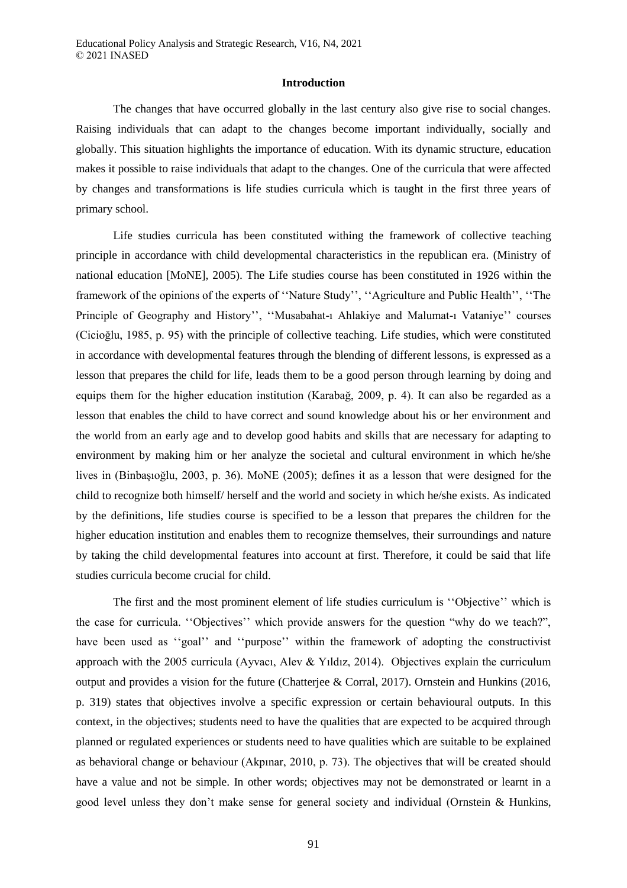#### **Introduction**

The changes that have occurred globally in the last century also give rise to social changes. Raising individuals that can adapt to the changes become important individually, socially and globally. This situation highlights the importance of education. With its dynamic structure, education makes it possible to raise individuals that adapt to the changes. One of the curricula that were affected by changes and transformations is life studies curricula which is taught in the first three years of primary school.

Life studies curricula has been constituted withing the framework of collective teaching principle in accordance with child developmental characteristics in the republican era. (Ministry of national education [MoNE], 2005). The Life studies course has been constituted in 1926 within the framework of the opinions of the experts of ''Nature Study'', ''Agriculture and Public Health'', ''The Principle of Geography and History'', ''Musabahat-ı Ahlakiye and Malumat-ı Vataniye'' courses (Cicioğlu, 1985, p. 95) with the principle of collective teaching. Life studies, which were constituted in accordance with developmental features through the blending of different lessons, is expressed as a lesson that prepares the child for life, leads them to be a good person through learning by doing and equips them for the higher education institution (Karabağ, 2009, p. 4). It can also be regarded as a lesson that enables the child to have correct and sound knowledge about his or her environment and the world from an early age and to develop good habits and skills that are necessary for adapting to environment by making him or her analyze the societal and cultural environment in which he/she lives in (Binbaşıoğlu, 2003, p. 36). MoNE (2005); defines it as a lesson that were designed for the child to recognize both himself/ herself and the world and society in which he/she exists. As indicated by the definitions, life studies course is specified to be a lesson that prepares the children for the higher education institution and enables them to recognize themselves, their surroundings and nature by taking the child developmental features into account at first. Therefore, it could be said that life studies curricula become crucial for child.

The first and the most prominent element of life studies curriculum is ''Objective'' which is the case for curricula. ''Objectives'' which provide answers for the question "why do we teach?", have been used as "goal" and "purpose" within the framework of adopting the constructivist approach with the 2005 curricula (Ayvacı, Alev & Yıldız, 2014). Objectives explain the curriculum output and provides a vision for the future (Chatterjee & Corral, 2017). Ornstein and Hunkins (2016, p. 319) states that objectives involve a specific expression or certain behavioural outputs. In this context, in the objectives; students need to have the qualities that are expected to be acquired through planned or regulated experiences or students need to have qualities which are suitable to be explained as behavioral change or behaviour (Akpınar, 2010, p. 73). The objectives that will be created should have a value and not be simple. In other words; objectives may not be demonstrated or learnt in a good level unless they don't make sense for general society and individual (Ornstein & Hunkins,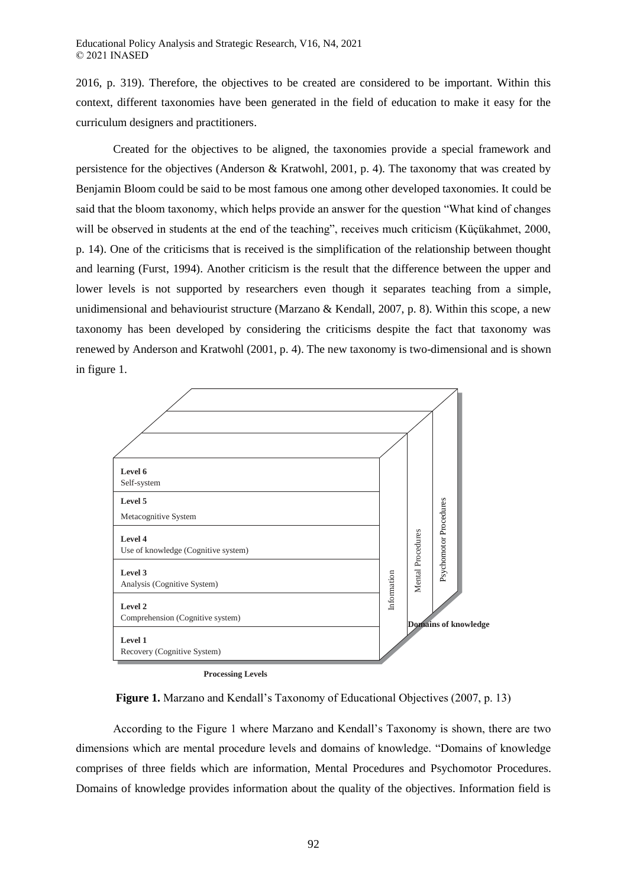2016, p. 319). Therefore, the objectives to be created are considered to be important. Within this context, different taxonomies have been generated in the field of education to make it easy for the curriculum designers and practitioners.

Created for the objectives to be aligned, the taxonomies provide a special framework and persistence for the objectives (Anderson & Kratwohl, 2001, p. 4). The taxonomy that was created by Benjamin Bloom could be said to be most famous one among other developed taxonomies. It could be said that the bloom taxonomy, which helps provide an answer for the question "What kind of changes will be observed in students at the end of the teaching", receives much criticism (Küçükahmet, 2000, p. 14). One of the criticisms that is received is the simplification of the relationship between thought and learning (Furst, 1994). Another criticism is the result that the difference between the upper and lower levels is not supported by researchers even though it separates teaching from a simple, unidimensional and behaviourist structure (Marzano & Kendall, 2007, p. 8). Within this scope, a new taxonomy has been developed by considering the criticisms despite the fact that taxonomy was renewed by Anderson and Kratwohl (2001, p. 4). The new taxonomy is two-dimensional and is shown in figure 1.



**Processing Levels**

**Figure 1.** Marzano and Kendall's Taxonomy of Educational Objectives (2007, p. 13)

According to the Figure 1 where Marzano and Kendall's Taxonomy is shown, there are two dimensions which are mental procedure levels and domains of knowledge. "Domains of knowledge comprises of three fields which are information, Mental Procedures and Psychomotor Procedures. Domains of knowledge provides information about the quality of the objectives. Information field is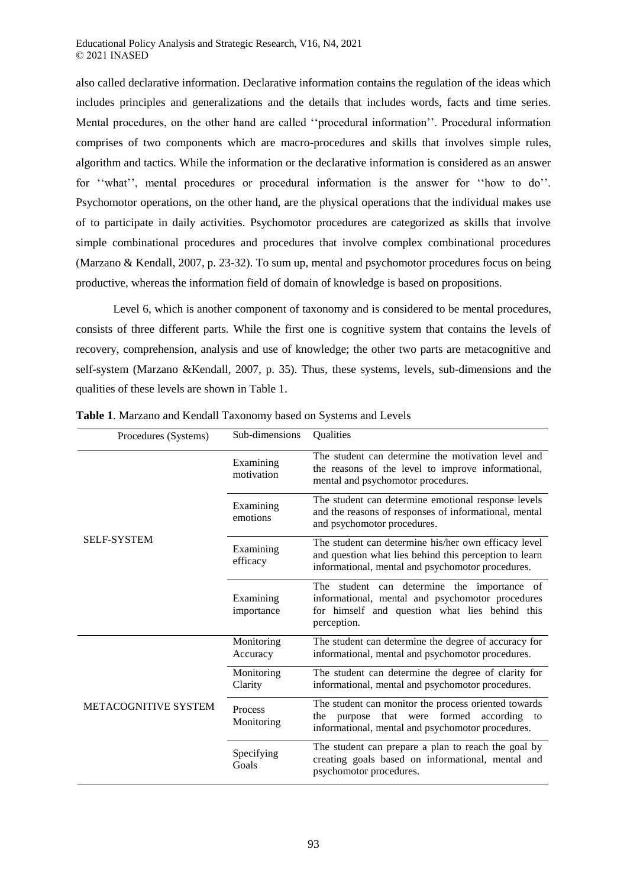also called declarative information. Declarative information contains the regulation of the ideas which includes principles and generalizations and the details that includes words, facts and time series. Mental procedures, on the other hand are called ''procedural information''. Procedural information comprises of two components which are macro-procedures and skills that involves simple rules, algorithm and tactics. While the information or the declarative information is considered as an answer for ''what'', mental procedures or procedural information is the answer for ''how to do''. Psychomotor operations, on the other hand, are the physical operations that the individual makes use of to participate in daily activities. Psychomotor procedures are categorized as skills that involve simple combinational procedures and procedures that involve complex combinational procedures (Marzano & Kendall, 2007, p. 23-32). To sum up, mental and psychomotor procedures focus on being productive, whereas the information field of domain of knowledge is based on propositions.

Level 6, which is another component of taxonomy and is considered to be mental procedures, consists of three different parts. While the first one is cognitive system that contains the levels of recovery, comprehension, analysis and use of knowledge; the other two parts are metacognitive and self-system (Marzano &Kendall, 2007, p. 35). Thus, these systems, levels, sub-dimensions and the qualities of these levels are shown in Table 1.

| Procedures (Systems) | Sub-dimensions               | Qualities                                                                                                                                                           |  |  |  |  |
|----------------------|------------------------------|---------------------------------------------------------------------------------------------------------------------------------------------------------------------|--|--|--|--|
|                      | Examining<br>motivation      | The student can determine the motivation level and<br>the reasons of the level to improve informational,<br>mental and psychomotor procedures.                      |  |  |  |  |
|                      | Examining<br>emotions        | The student can determine emotional response levels<br>and the reasons of responses of informational, mental<br>and psychomotor procedures.                         |  |  |  |  |
| <b>SELF-SYSTEM</b>   | Examining<br>efficacy        | The student can determine his/her own efficacy level<br>and question what lies behind this perception to learn<br>informational, mental and psychomotor procedures. |  |  |  |  |
|                      | Examining<br>importance      | The student can determine the importance of<br>informational, mental and psychomotor procedures<br>for himself and question what lies behind this<br>perception.    |  |  |  |  |
|                      | Monitoring<br>Accuracy       | The student can determine the degree of accuracy for<br>informational, mental and psychomotor procedures.                                                           |  |  |  |  |
|                      | Monitoring<br>Clarity        | The student can determine the degree of clarity for<br>informational, mental and psychomotor procedures.                                                            |  |  |  |  |
| METACOGNITIVE SYSTEM | <b>Process</b><br>Monitoring | The student can monitor the process oriented towards<br>the purpose that were formed according to<br>informational, mental and psychomotor procedures.              |  |  |  |  |
|                      | Specifying<br>Goals          | The student can prepare a plan to reach the goal by<br>creating goals based on informational, mental and<br>psychomotor procedures.                                 |  |  |  |  |

**Table 1**. Marzano and Kendall Taxonomy based on Systems and Levels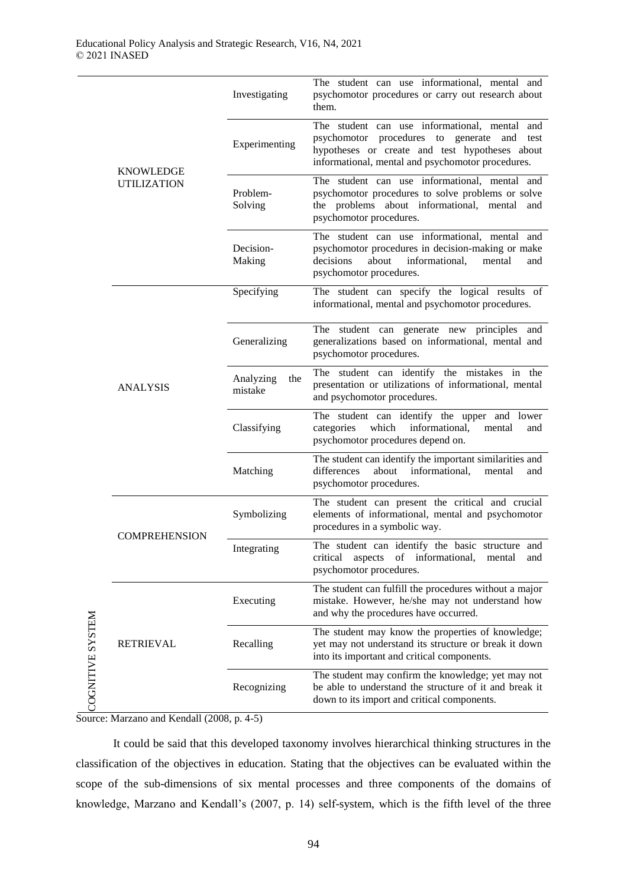|                  | <b>KNOWLEDGE</b><br><b>UTILIZATION</b> | Investigating               | The student can use informational, mental and<br>psychomotor procedures or carry out research about<br>them.                                                                                              |
|------------------|----------------------------------------|-----------------------------|-----------------------------------------------------------------------------------------------------------------------------------------------------------------------------------------------------------|
|                  |                                        | Experimenting               | The student can use informational, mental and<br>psychomotor procedures to generate<br>and<br>test<br>hypotheses or create and test hypotheses about<br>informational, mental and psychomotor procedures. |
|                  |                                        | Problem-<br>Solving         | The student can use informational, mental and<br>psychomotor procedures to solve problems or solve<br>the problems about informational, mental and<br>psychomotor procedures.                             |
|                  |                                        | Decision-<br>Making         | The student can use informational, mental and<br>psychomotor procedures in decision-making or make<br>decisions<br>about<br>informational,<br>mental<br>and<br>psychomotor procedures.                    |
|                  | <b>ANALYSIS</b>                        | Specifying                  | The student can specify the logical results of<br>informational, mental and psychomotor procedures.                                                                                                       |
|                  |                                        | Generalizing                | The student can generate new principles and<br>generalizations based on informational, mental and<br>psychomotor procedures.                                                                              |
|                  |                                        | Analyzing<br>the<br>mistake | The student can identify the mistakes in the<br>presentation or utilizations of informational, mental<br>and psychomotor procedures.                                                                      |
|                  |                                        | Classifying                 | The student can identify the upper and lower<br>categories<br>which<br>informational,<br>mental<br>and<br>psychomotor procedures depend on.                                                               |
|                  |                                        | Matching                    | The student can identify the important similarities and<br>differences<br>about informational,<br>mental<br>and<br>psychomotor procedures.                                                                |
|                  | <b>COMPREHENSION</b>                   | Symbolizing                 | The student can present the critical and crucial<br>elements of informational, mental and psychomotor<br>procedures in a symbolic way.                                                                    |
|                  |                                        | Integrating                 | The student can identify the basic structure and<br>critical aspects of informational,<br>mental<br>and<br>psychomotor procedures.                                                                        |
|                  | <b>RETRIEVAL</b>                       | Executing                   | The student can fulfill the procedures without a major<br>mistake. However, he/she may not understand how<br>and why the procedures have occurred.                                                        |
| COGNITIVE SYSTEM |                                        | Recalling                   | The student may know the properties of knowledge;<br>yet may not understand its structure or break it down<br>into its important and critical components.                                                 |
|                  |                                        | Recognizing                 | The student may confirm the knowledge; yet may not<br>be able to understand the structure of it and break it<br>down to its import and critical components.                                               |

Source: Marzano and Kendall (2008, p. 4-5)

It could be said that this developed taxonomy involves hierarchical thinking structures in the classification of the objectives in education. Stating that the objectives can be evaluated within the scope of the sub-dimensions of six mental processes and three components of the domains of knowledge, Marzano and Kendall's (2007, p. 14) self-system, which is the fifth level of the three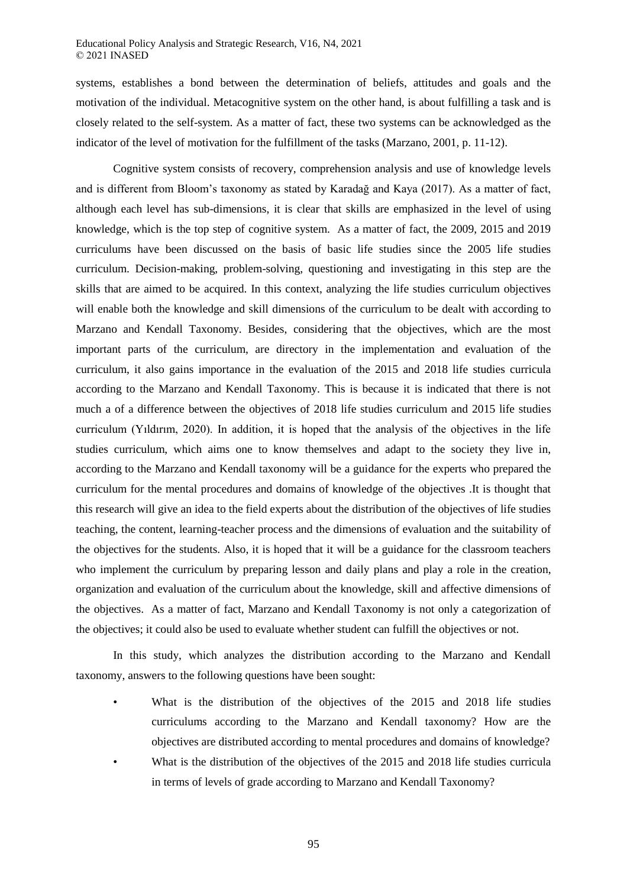systems, establishes a bond between the determination of beliefs, attitudes and goals and the motivation of the individual. Metacognitive system on the other hand, is about fulfilling a task and is closely related to the self-system. As a matter of fact, these two systems can be acknowledged as the indicator of the level of motivation for the fulfillment of the tasks (Marzano, 2001, p. 11-12).

Cognitive system consists of recovery, comprehension analysis and use of knowledge levels and is different from Bloom's taxonomy as stated by Karadağ and Kaya (2017). As a matter of fact, although each level has sub-dimensions, it is clear that skills are emphasized in the level of using knowledge, which is the top step of cognitive system. As a matter of fact, the 2009, 2015 and 2019 curriculums have been discussed on the basis of basic life studies since the 2005 life studies curriculum. Decision-making, problem-solving, questioning and investigating in this step are the skills that are aimed to be acquired. In this context, analyzing the life studies curriculum objectives will enable both the knowledge and skill dimensions of the curriculum to be dealt with according to Marzano and Kendall Taxonomy. Besides, considering that the objectives, which are the most important parts of the curriculum, are directory in the implementation and evaluation of the curriculum, it also gains importance in the evaluation of the 2015 and 2018 life studies curricula according to the Marzano and Kendall Taxonomy. This is because it is indicated that there is not much a of a difference between the objectives of 2018 life studies curriculum and 2015 life studies curriculum (Yıldırım, 2020). In addition, it is hoped that the analysis of the objectives in the life studies curriculum, which aims one to know themselves and adapt to the society they live in, according to the Marzano and Kendall taxonomy will be a guidance for the experts who prepared the curriculum for the mental procedures and domains of knowledge of the objectives .It is thought that this research will give an idea to the field experts about the distribution of the objectives of life studies teaching, the content, learning-teacher process and the dimensions of evaluation and the suitability of the objectives for the students. Also, it is hoped that it will be a guidance for the classroom teachers who implement the curriculum by preparing lesson and daily plans and play a role in the creation, organization and evaluation of the curriculum about the knowledge, skill and affective dimensions of the objectives. As a matter of fact, Marzano and Kendall Taxonomy is not only a categorization of the objectives; it could also be used to evaluate whether student can fulfill the objectives or not.

In this study, which analyzes the distribution according to the Marzano and Kendall taxonomy, answers to the following questions have been sought:

- What is the distribution of the objectives of the 2015 and 2018 life studies curriculums according to the Marzano and Kendall taxonomy? How are the objectives are distributed according to mental procedures and domains of knowledge?
- What is the distribution of the objectives of the 2015 and 2018 life studies curricula in terms of levels of grade according to Marzano and Kendall Taxonomy?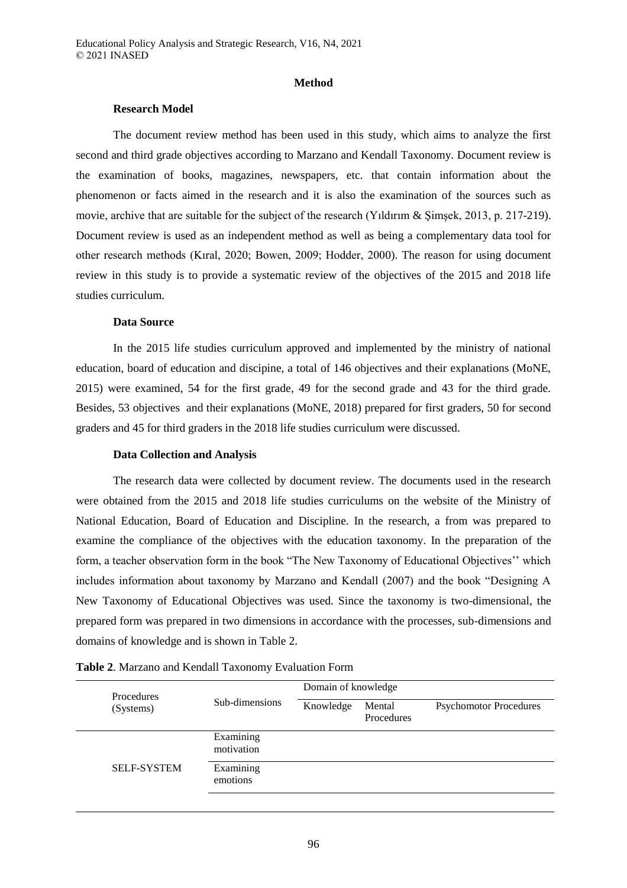## **Method**

## **Research Model**

The document review method has been used in this study, which aims to analyze the first second and third grade objectives according to Marzano and Kendall Taxonomy. Document review is the examination of books, magazines, newspapers, etc. that contain information about the phenomenon or facts aimed in the research and it is also the examination of the sources such as movie, archive that are suitable for the subject of the research (Yıldırım & Şimşek, 2013, p. 217-219). Document review is used as an independent method as well as being a complementary data tool for other research methods (Kıral, 2020; Bowen, 2009; Hodder, 2000). The reason for using document review in this study is to provide a systematic review of the objectives of the 2015 and 2018 life studies curriculum.

#### **Data Source**

In the 2015 life studies curriculum approved and implemented by the ministry of national education, board of education and discipine, a total of 146 objectives and their explanations (MoNE, 2015) were examined, 54 for the first grade, 49 for the second grade and 43 for the third grade. Besides, 53 objectives and their explanations (MoNE, 2018) prepared for first graders, 50 for second graders and 45 for third graders in the 2018 life studies curriculum were discussed.

#### **Data Collection and Analysis**

The research data were collected by document review. The documents used in the research were obtained from the 2015 and 2018 life studies curriculums on the website of the Ministry of National Education, Board of Education and Discipline. In the research, a from was prepared to examine the compliance of the objectives with the education taxonomy. In the preparation of the form, a teacher observation form in the book "The New Taxonomy of Educational Objectives'' which includes information about taxonomy by Marzano and Kendall (2007) and the book "Designing A New Taxonomy of Educational Objectives was used. Since the taxonomy is two-dimensional, the prepared form was prepared in two dimensions in accordance with the processes, sub-dimensions and domains of knowledge and is shown in Table 2.

| <b>Procedures</b>  |                         | Domain of knowledge |                      |                               |  |  |  |
|--------------------|-------------------------|---------------------|----------------------|-------------------------------|--|--|--|
| (Systems)          | Sub-dimensions          | Knowledge           | Mental<br>Procedures | <b>Psychomotor Procedures</b> |  |  |  |
|                    | Examining<br>motivation |                     |                      |                               |  |  |  |
| <b>SELF-SYSTEM</b> | Examining<br>emotions   |                     |                      |                               |  |  |  |
|                    |                         |                     |                      |                               |  |  |  |

| Table 2. Marzano and Kendall Taxonomy Evaluation Form |  |
|-------------------------------------------------------|--|
|-------------------------------------------------------|--|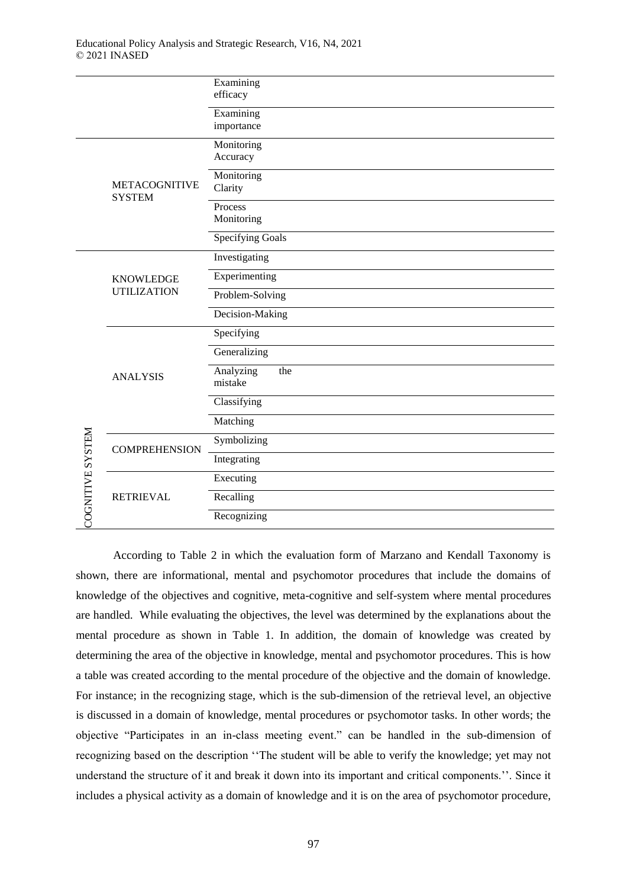|                         |                                        | Examining               |
|-------------------------|----------------------------------------|-------------------------|
|                         |                                        | efficacy                |
|                         |                                        | Examining               |
|                         |                                        | importance              |
|                         |                                        |                         |
|                         |                                        | Monitoring              |
|                         |                                        | Accuracy                |
|                         |                                        | Monitoring              |
|                         | <b>METACOGNITIVE</b>                   | Clarity                 |
|                         | <b>SYSTEM</b>                          | Process                 |
|                         |                                        | Monitoring              |
|                         |                                        |                         |
|                         |                                        | <b>Specifying Goals</b> |
|                         | <b>KNOWLEDGE</b><br><b>UTILIZATION</b> | Investigating           |
|                         |                                        | Experimenting           |
|                         |                                        | Problem-Solving         |
|                         |                                        | Decision-Making         |
|                         | <b>ANALYSIS</b>                        | Specifying              |
|                         |                                        | Generalizing            |
|                         |                                        | Analyzing<br>the        |
|                         |                                        | mistake                 |
|                         |                                        | Classifying             |
|                         |                                        | Matching                |
|                         | <b>COMPREHENSION</b>                   | Symbolizing             |
| <b>COGNITIVE SYSTEM</b> |                                        | Integrating             |
|                         |                                        | Executing               |
|                         | <b>RETRIEVAL</b>                       | Recalling               |
|                         |                                        | Recognizing             |

According to Table 2 in which the evaluation form of Marzano and Kendall Taxonomy is shown, there are informational, mental and psychomotor procedures that include the domains of knowledge of the objectives and cognitive, meta-cognitive and self-system where mental procedures are handled. While evaluating the objectives, the level was determined by the explanations about the mental procedure as shown in Table 1. In addition, the domain of knowledge was created by determining the area of the objective in knowledge, mental and psychomotor procedures. This is how a table was created according to the mental procedure of the objective and the domain of knowledge. For instance; in the recognizing stage, which is the sub-dimension of the retrieval level, an objective is discussed in a domain of knowledge, mental procedures or psychomotor tasks. In other words; the objective "Participates in an in-class meeting event." can be handled in the sub-dimension of recognizing based on the description ''The student will be able to verify the knowledge; yet may not understand the structure of it and break it down into its important and critical components.''. Since it includes a physical activity as a domain of knowledge and it is on the area of psychomotor procedure,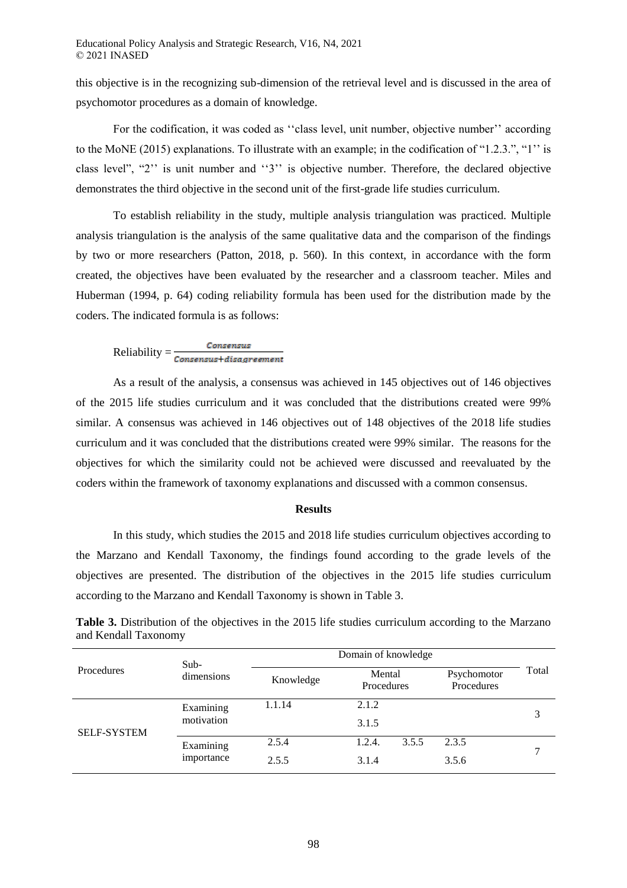this objective is in the recognizing sub-dimension of the retrieval level and is discussed in the area of psychomotor procedures as a domain of knowledge.

For the codification, it was coded as "class level, unit number, objective number" according to the MoNE (2015) explanations. To illustrate with an example; in the codification of "1.2.3.", "1'' is class level", "2'' is unit number and ''3'' is objective number. Therefore, the declared objective demonstrates the third objective in the second unit of the first-grade life studies curriculum.

To establish reliability in the study, multiple analysis triangulation was practiced. Multiple analysis triangulation is the analysis of the same qualitative data and the comparison of the findings by two or more researchers (Patton, 2018, p. 560). In this context, in accordance with the form created, the objectives have been evaluated by the researcher and a classroom teacher. Miles and Huberman (1994, p. 64) coding reliability formula has been used for the distribution made by the coders. The indicated formula is as follows:

 $\text{Reliability} = \frac{\textit{Consensus}}{\textit{Consensus} + \textit{disdependent}}$ 

As a result of the analysis, a consensus was achieved in 145 objectives out of 146 objectives of the 2015 life studies curriculum and it was concluded that the distributions created were 99% similar. A consensus was achieved in 146 objectives out of 148 objectives of the 2018 life studies curriculum and it was concluded that the distributions created were 99% similar. The reasons for the objectives for which the similarity could not be achieved were discussed and reevaluated by the coders within the framework of taxonomy explanations and discussed with a common consensus.

#### **Results**

In this study, which studies the 2015 and 2018 life studies curriculum objectives according to the Marzano and Kendall Taxonomy, the findings found according to the grade levels of the objectives are presented. The distribution of the objectives in the 2015 life studies curriculum according to the Marzano and Kendall Taxonomy is shown in Table 3.

**Table 3.** Distribution of the objectives in the 2015 life studies curriculum according to the Marzano and Kendall Taxonomy

|                    | $Sub-$     | Domain of knowledge |                      |                           |       |  |  |
|--------------------|------------|---------------------|----------------------|---------------------------|-------|--|--|
| Procedures         | dimensions | Knowledge           | Mental<br>Procedures | Psychomotor<br>Procedures | Total |  |  |
|                    | Examining  | 1.1.14              | 2.1.2                |                           | 3     |  |  |
| <b>SELF-SYSTEM</b> | motivation |                     | 3.1.5                |                           |       |  |  |
|                    | Examining  | 2.5.4               | 3.5.5<br>1.2.4.      | 2.3.5                     |       |  |  |
|                    | importance | 2.5.5               | 3.1.4                | 3.5.6                     |       |  |  |
|                    |            |                     |                      |                           |       |  |  |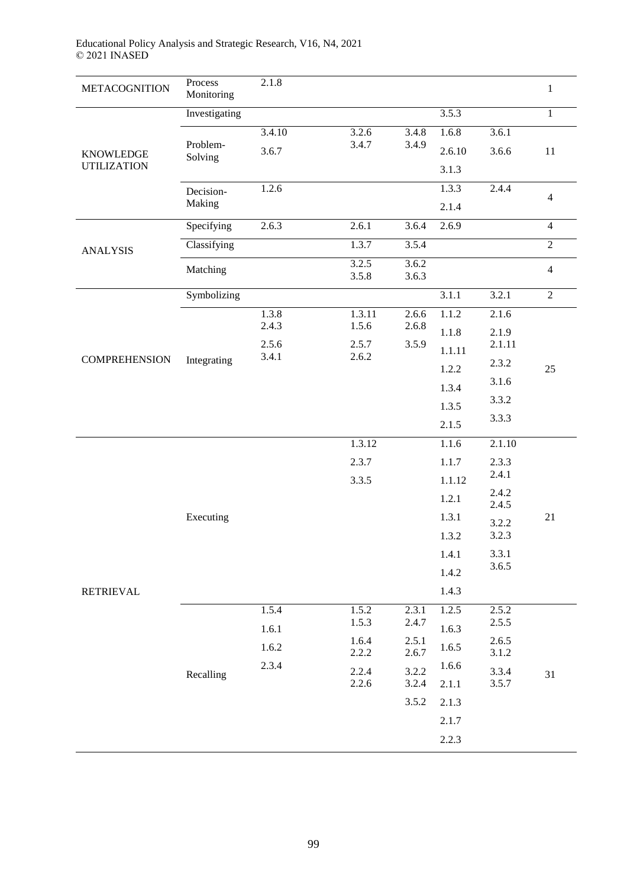| <b>METACOGNITION</b> | Process<br>Monitoring | 2.1.8          |                         |                |                                  |                 | $\mathbf{1}$   |
|----------------------|-----------------------|----------------|-------------------------|----------------|----------------------------------|-----------------|----------------|
|                      | Investigating         |                |                         |                | 3.5.3                            |                 | $\mathbf{1}$   |
|                      |                       | 3.4.10         | 3.2.6                   | 3.4.8          | 1.6.8                            | 3.6.1           |                |
| <b>KNOWLEDGE</b>     | Problem-<br>Solving   | 3.6.7          | 3.4.7                   | 3.4.9          | 2.6.10                           | 3.6.6           | $11\,$         |
| <b>UTILIZATION</b>   |                       |                |                         |                | 3.1.3                            |                 |                |
|                      | Decision-             | 1.2.6          |                         |                | 1.3.3                            | 2.4.4           | $\overline{4}$ |
|                      | Making                |                |                         |                | 2.1.4                            |                 |                |
|                      | Specifying            | 2.6.3          | 2.6.1                   | 3.6.4          | 2.6.9                            |                 | $\overline{4}$ |
| <b>ANALYSIS</b>      | Classifying           |                | 1.3.7                   | 3.5.4          |                                  |                 | $\sqrt{2}$     |
|                      | Matching              |                | 3.2.5<br>3.5.8          | 3.6.2<br>3.6.3 |                                  |                 | $\overline{4}$ |
|                      | Symbolizing           |                |                         |                | 3.1.1                            | 3.2.1           | $\overline{2}$ |
|                      | Integrating           | 1.3.8          | 1.3.11                  | 2.6.6          | 1.1.2                            | 2.1.6           |                |
|                      |                       | 2.4.3          | 1.5.6<br>2.5.7<br>2.6.2 | 2.6.8          | 1.1.8                            | 2.1.9<br>2.1.11 |                |
| <b>COMPREHENSION</b> |                       | 2.5.6<br>3.4.1 |                         | 3.5.9          | 1.1.11                           |                 |                |
|                      |                       |                |                         |                | 1.2.2                            | 2.3.2           | 25             |
|                      |                       |                |                         |                | 1.3.4                            | 3.1.6           |                |
|                      |                       |                |                         |                | 1.3.5                            | 3.3.2<br>3.3.3  |                |
|                      |                       |                |                         |                | 2.1.5                            |                 |                |
|                      |                       |                | 1.3.12                  |                | 1.1.6                            | 2.1.10          |                |
|                      |                       |                | 2.3.7                   |                | 1.1.7                            | 2.3.3<br>2.4.1  |                |
|                      |                       |                | 3.3.5                   |                | 1.1.12                           | 2.4.2           |                |
|                      |                       |                |                         |                | 1.2.1                            | 2.4.5           |                |
|                      | Executing             |                |                         |                | 1.3.1<br>3.2.2<br>1.3.2<br>3.2.3 |                 | 21             |
|                      |                       |                |                         |                |                                  |                 |                |
|                      |                       |                |                         |                | 1.4.1                            | 3.3.1<br>3.6.5  |                |
|                      |                       |                |                         |                | 1.4.2                            |                 |                |
| <b>RETRIEVAL</b>     |                       |                |                         |                | 1.4.3                            |                 |                |
|                      |                       | 1.5.4          | 1.5.2<br>1.5.3          | 2.3.1<br>2.4.7 | 1.2.5                            | 2.5.2<br>2.5.5  |                |
|                      |                       | 1.6.1          | 1.6.4                   | 2.5.1          | 1.6.3                            | 2.6.5           |                |
|                      |                       | 1.6.2          | 2.2.2                   | 2.6.7          | 1.6.5                            | 3.1.2           |                |
|                      | Recalling             | 2.3.4          | 2.2.4                   | 3.2.2          | 1.6.6                            | 3.3.4           | 31             |
|                      |                       |                | 2.2.6                   | 3.2.4          | 2.1.1                            | 3.5.7           |                |
|                      |                       |                |                         | 3.5.2          | 2.1.3                            |                 |                |
|                      |                       |                |                         |                | 2.1.7                            |                 |                |
|                      |                       |                |                         |                | 2.2.3                            |                 |                |

# Educational Policy Analysis and Strategic Research, V16, N4, 2021 © 2021 INASED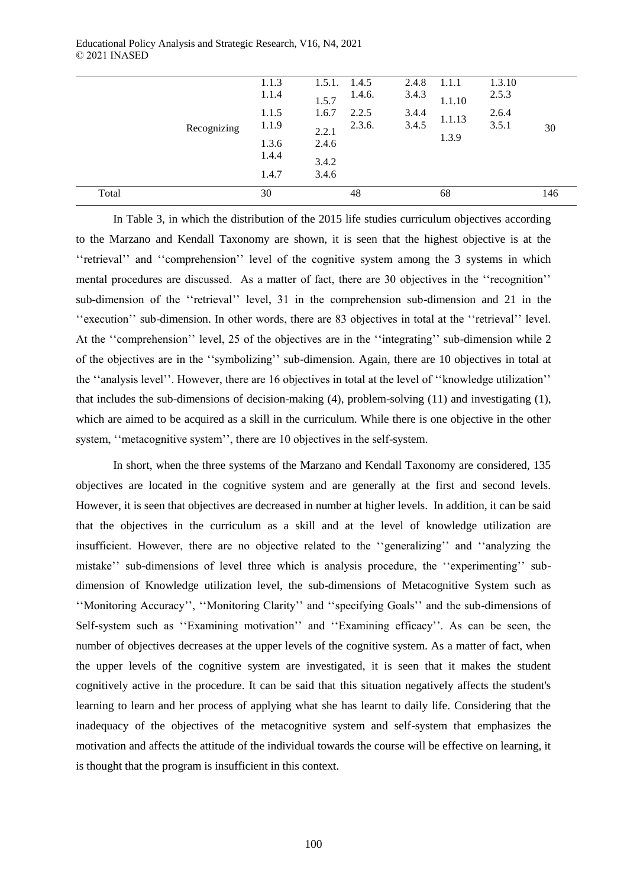|       |             | 1.1.3 | 1.5.1. | 1.4.5  | 2.4.8 | 1.1.1  | 1.3.10 |     |
|-------|-------------|-------|--------|--------|-------|--------|--------|-----|
|       |             | 1.1.4 | 1.5.7  | 1.4.6. | 3.4.3 | 1.1.10 | 2.5.3  |     |
|       |             | 1.1.5 | 1.6.7  | 2.2.5  | 3.4.4 | 1.1.13 | 2.6.4  |     |
|       | Recognizing | 1.1.9 | 2.2.1  | 2.3.6. | 3.4.5 |        | 3.5.1  | 30  |
|       |             | 1.3.6 | 2.4.6  |        |       | 1.3.9  |        |     |
|       |             | 1.4.4 | 3.4.2  |        |       |        |        |     |
|       |             | 1.4.7 | 3.4.6  |        |       |        |        |     |
| Total |             | 30    |        | 48     |       | 68     |        | 146 |

In Table 3, in which the distribution of the 2015 life studies curriculum objectives according to the Marzano and Kendall Taxonomy are shown, it is seen that the highest objective is at the ''retrieval'' and ''comprehension'' level of the cognitive system among the 3 systems in which mental procedures are discussed. As a matter of fact, there are 30 objectives in the ''recognition'' sub-dimension of the ''retrieval'' level, 31 in the comprehension sub-dimension and 21 in the ''execution'' sub-dimension. In other words, there are 83 objectives in total at the ''retrieval'' level. At the ''comprehension'' level, 25 of the objectives are in the ''integrating'' sub-dimension while 2 of the objectives are in the ''symbolizing'' sub-dimension. Again, there are 10 objectives in total at the ''analysis level''. However, there are 16 objectives in total at the level of ''knowledge utilization'' that includes the sub-dimensions of decision-making (4), problem-solving (11) and investigating (1), which are aimed to be acquired as a skill in the curriculum. While there is one objective in the other system, "metacognitive system", there are 10 objectives in the self-system.

In short, when the three systems of the Marzano and Kendall Taxonomy are considered, 135 objectives are located in the cognitive system and are generally at the first and second levels. However, it is seen that objectives are decreased in number at higher levels. In addition, it can be said that the objectives in the curriculum as a skill and at the level of knowledge utilization are insufficient. However, there are no objective related to the ''generalizing'' and ''analyzing the mistake'' sub-dimensions of level three which is analysis procedure, the ''experimenting'' subdimension of Knowledge utilization level, the sub-dimensions of Metacognitive System such as ''Monitoring Accuracy'', ''Monitoring Clarity'' and ''specifying Goals'' and the sub-dimensions of Self-system such as ''Examining motivation'' and ''Examining efficacy''. As can be seen, the number of objectives decreases at the upper levels of the cognitive system. As a matter of fact, when the upper levels of the cognitive system are investigated, it is seen that it makes the student cognitively active in the procedure. It can be said that this situation negatively affects the student's learning to learn and her process of applying what she has learnt to daily life. Considering that the inadequacy of the objectives of the metacognitive system and self-system that emphasizes the motivation and affects the attitude of the individual towards the course will be effective on learning, it is thought that the program is insufficient in this context.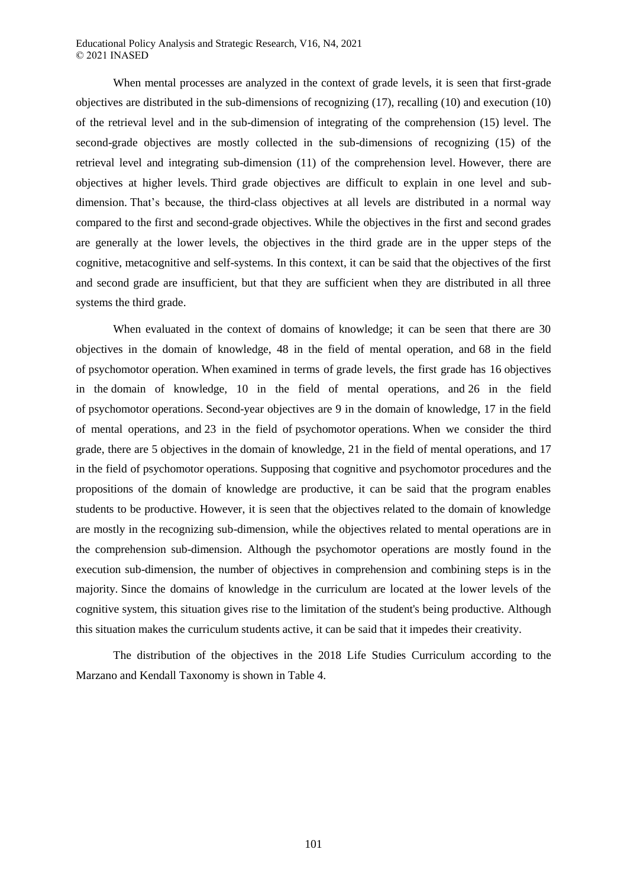When mental processes are analyzed in the context of grade levels, it is seen that first-grade objectives are distributed in the sub-dimensions of recognizing (17), recalling (10) and execution (10) of the retrieval level and in the sub-dimension of integrating of the comprehension (15) level. The second-grade objectives are mostly collected in the sub-dimensions of recognizing (15) of the retrieval level and integrating sub-dimension (11) of the comprehension level. However, there are objectives at higher levels. Third grade objectives are difficult to explain in one level and subdimension. That's because, the third-class objectives at all levels are distributed in a normal way compared to the first and second-grade objectives. While the objectives in the first and second grades are generally at the lower levels, the objectives in the third grade are in the upper steps of the cognitive, metacognitive and self-systems. In this context, it can be said that the objectives of the first and second grade are insufficient, but that they are sufficient when they are distributed in all three systems the third grade.

When evaluated in the context of domains of knowledge; it can be seen that there are 30 objectives in the domain of knowledge, 48 in the field of mental operation, and 68 in the field of psychomotor operation. When examined in terms of grade levels, the first grade has 16 objectives in the domain of knowledge, 10 in the field of mental operations, and 26 in the field of psychomotor operations. Second-year objectives are 9 in the domain of knowledge, 17 in the field of mental operations, and 23 in the field of psychomotor operations. When we consider the third grade, there are 5 objectives in the domain of knowledge, 21 in the field of mental operations, and 17 in the field of psychomotor operations. Supposing that cognitive and psychomotor procedures and the propositions of the domain of knowledge are productive, it can be said that the program enables students to be productive. However, it is seen that the objectives related to the domain of knowledge are mostly in the recognizing sub-dimension, while the objectives related to mental operations are in the comprehension sub-dimension. Although the psychomotor operations are mostly found in the execution sub-dimension, the number of objectives in comprehension and combining steps is in the majority. Since the domains of knowledge in the curriculum are located at the lower levels of the cognitive system, this situation gives rise to the limitation of the student's being productive. Although this situation makes the curriculum students active, it can be said that it impedes their creativity.

The distribution of the objectives in the 2018 Life Studies Curriculum according to the Marzano and Kendall Taxonomy is shown in Table 4.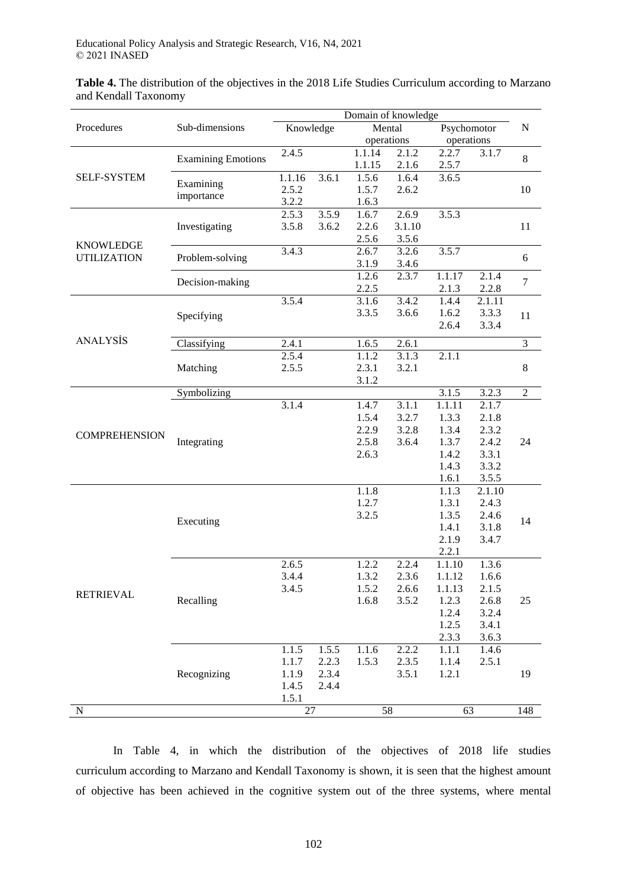**Table 4.** The distribution of the objectives in the 2018 Life Studies Curriculum according to Marzano and Kendall Taxonomy

|                      |                           | Domain of knowledge |       |        |            |                    |             |                |  |
|----------------------|---------------------------|---------------------|-------|--------|------------|--------------------|-------------|----------------|--|
| Procedures           | Sub-dimensions            | Knowledge           |       |        | Mental     |                    | Psychomotor |                |  |
|                      |                           |                     |       |        | operations | operations         |             |                |  |
|                      | <b>Examining Emotions</b> | 2.4.5               |       | 1.1.14 | 2.1.2      | 2.2.7              | 3.1.7       | $\,8\,$        |  |
|                      |                           |                     |       | 1.1.15 | 2.1.6      | 2.5.7              |             |                |  |
| <b>SELF-SYSTEM</b>   | Examining                 | 1.1.16              | 3.6.1 | 1.5.6  | 1.6.4      | 3.6.5              |             |                |  |
|                      | importance                | 2.5.2               |       | 1.5.7  | 2.6.2      |                    |             | 10             |  |
|                      |                           | 3.2.2               |       | 1.6.3  |            |                    |             |                |  |
|                      |                           | 2.5.3               | 3.5.9 | 1.6.7  | 2.6.9      | 3.5.3              |             |                |  |
|                      | Investigating             | 3.5.8               | 3.6.2 | 2.2.6  | 3.1.10     |                    |             | 11             |  |
| <b>KNOWLEDGE</b>     |                           |                     |       | 2.5.6  | 3.5.6      |                    |             |                |  |
| <b>UTILIZATION</b>   | Problem-solving           | 3.4.3               |       | 2.6.7  | 3.2.6      | 3.5.7              |             | 6              |  |
|                      |                           |                     |       | 3.1.9  | 3.4.6      |                    |             |                |  |
|                      | Decision-making           |                     |       | 1.2.6  | 2.3.7      | 1.1.17             | 2.1.4       | $\tau$         |  |
|                      |                           |                     |       | 2.2.5  |            | 2.1.3              | 2.2.8       |                |  |
|                      |                           | 3.5.4               |       | 3.1.6  | 3.4.2      | 1.4.4              | 2.1.11      |                |  |
|                      | Specifying                |                     |       | 3.3.5  | 3.6.6      | 1.6.2              | 3.3.3       | 11             |  |
|                      |                           |                     |       |        |            | 2.6.4              | 3.3.4       |                |  |
| <b>ANALYSIS</b>      | Classifying               | 2.4.1               |       | 1.6.5  | 2.6.1      |                    |             | $\overline{3}$ |  |
|                      |                           | 2.5.4               |       | 1.1.2  | 3.1.3      | 2.1.1              |             |                |  |
|                      | Matching                  | 2.5.5               |       | 2.3.1  | 3.2.1      |                    |             | $\,8\,$        |  |
|                      |                           |                     |       | 3.1.2  |            |                    |             |                |  |
|                      | Symbolizing               |                     |       |        |            | $3.1.\overline{5}$ | 3.2.3       | $\overline{2}$ |  |
|                      |                           | 3.1.4               |       | 1.4.7  | 3.1.1      | 1.1.11             | 2.1.7       | 24             |  |
|                      |                           |                     |       | 1.5.4  | 3.2.7      | 1.3.3              | 2.1.8       |                |  |
|                      |                           |                     |       | 2.2.9  | 3.2.8      | 1.3.4              | 2.3.2       |                |  |
| <b>COMPREHENSION</b> | Integrating               |                     |       | 2.5.8  | 3.6.4      | 1.3.7              | 2.4.2       |                |  |
|                      |                           |                     |       | 2.6.3  |            | 1.4.2              | 3.3.1       |                |  |
|                      |                           |                     |       |        |            | 1.4.3              | 3.3.2       |                |  |
|                      |                           |                     |       |        |            | 1.6.1              | 3.5.5       |                |  |
|                      |                           |                     |       | 1.1.8  |            | 1.1.3              | 2.1.10      |                |  |
|                      |                           |                     |       | 1.2.7  |            | 1.3.1              | 2.4.3       |                |  |
|                      | Executing                 |                     |       | 3.2.5  |            | 1.3.5              | 2.4.6       | 14             |  |
|                      |                           |                     |       |        |            | 1.4.1              | 3.1.8       |                |  |
|                      |                           |                     |       |        |            | 2.1.9              | 3.4.7       |                |  |
|                      |                           |                     |       |        |            | 2.2.1              |             |                |  |
|                      |                           | 2.6.5               |       | 1.2.2  | 2.2.4      | 1.1.10             | 1.3.6       |                |  |
|                      |                           | 3.4.4               |       | 1.3.2  | 2.3.6      | 1.1.12             | 1.6.6       |                |  |
| <b>RETRIEVAL</b>     |                           | 3.4.5               |       | 1.5.2  | 2.6.6      | 1.1.13             | 2.1.5       |                |  |
|                      | Recalling                 |                     |       | 1.6.8  | 3.5.2      | 1.2.3              | 2.6.8       | 25             |  |
|                      |                           |                     |       |        |            | 1.2.4              | 3.2.4       |                |  |
|                      |                           |                     |       |        |            | 1.2.5              | 3.4.1       |                |  |
|                      |                           |                     |       |        |            | 2.3.3              | 3.6.3       |                |  |
|                      |                           | 1.1.5               | 1.5.5 | 1.1.6  | 2.2.2      | 1.1.1              | 1.4.6       |                |  |
|                      |                           | 1.1.7               | 2.2.3 | 1.5.3  | 2.3.5      | 1.1.4              | 2.5.1       |                |  |
|                      | Recognizing               | 1.1.9               | 2.3.4 |        | 3.5.1      | 1.2.1              |             | 19             |  |
|                      |                           | 1.4.5               | 2.4.4 |        |            |                    |             |                |  |
|                      |                           | 1.5.1               |       |        |            |                    |             | 148            |  |
| N                    |                           | 27                  |       | 58     |            |                    | 63          |                |  |

In Table 4, in which the distribution of the objectives of 2018 life studies curriculum according to Marzano and Kendall Taxonomy is shown, it is seen that the highest amount of objective has been achieved in the cognitive system out of the three systems, where mental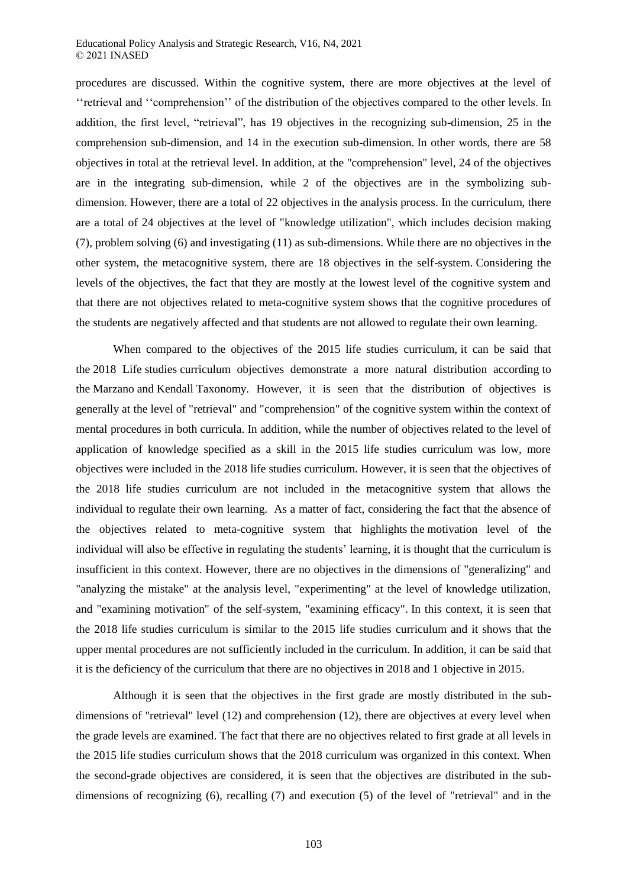procedures are discussed. Within the cognitive system, there are more objectives at the level of ''retrieval and ''comprehension'' of the distribution of the objectives compared to the other levels. In addition, the first level, "retrieval", has 19 objectives in the recognizing sub-dimension, 25 in the comprehension sub-dimension, and 14 in the execution sub-dimension. In other words, there are 58 objectives in total at the retrieval level. In addition, at the "comprehension" level, 24 of the objectives are in the integrating sub-dimension, while 2 of the objectives are in the symbolizing subdimension. However, there are a total of 22 objectives in the analysis process. In the curriculum, there are a total of 24 objectives at the level of "knowledge utilization", which includes decision making (7), problem solving (6) and investigating (11) as sub-dimensions. While there are no objectives in the other system, the metacognitive system, there are 18 objectives in the self-system. Considering the levels of the objectives, the fact that they are mostly at the lowest level of the cognitive system and that there are not objectives related to meta-cognitive system shows that the cognitive procedures of the students are negatively affected and that students are not allowed to regulate their own learning.

When compared to the objectives of the 2015 life studies curriculum, it can be said that the 2018 Life studies curriculum objectives demonstrate a more natural distribution according to the Marzano and Kendall Taxonomy. However, it is seen that the distribution of objectives is generally at the level of "retrieval" and "comprehension" of the cognitive system within the context of mental procedures in both curricula. In addition, while the number of objectives related to the level of application of knowledge specified as a skill in the 2015 life studies curriculum was low, more objectives were included in the 2018 life studies curriculum. However, it is seen that the objectives of the 2018 life studies curriculum are not included in the metacognitive system that allows the individual to regulate their own learning. As a matter of fact, considering the fact that the absence of the objectives related to meta-cognitive system that highlights the motivation level of the individual will also be effective in regulating the students' learning, it is thought that the curriculum is insufficient in this context. However, there are no objectives in the dimensions of "generalizing" and "analyzing the mistake" at the analysis level, "experimenting" at the level of knowledge utilization, and "examining motivation" of the self-system, "examining efficacy". In this context, it is seen that the 2018 life studies curriculum is similar to the 2015 life studies curriculum and it shows that the upper mental procedures are not sufficiently included in the curriculum. In addition, it can be said that it is the deficiency of the curriculum that there are no objectives in 2018 and 1 objective in 2015.

Although it is seen that the objectives in the first grade are mostly distributed in the subdimensions of "retrieval" level (12) and comprehension (12), there are objectives at every level when the grade levels are examined. The fact that there are no objectives related to first grade at all levels in the 2015 life studies curriculum shows that the 2018 curriculum was organized in this context. When the second-grade objectives are considered, it is seen that the objectives are distributed in the subdimensions of recognizing (6), recalling (7) and execution (5) of the level of "retrieval" and in the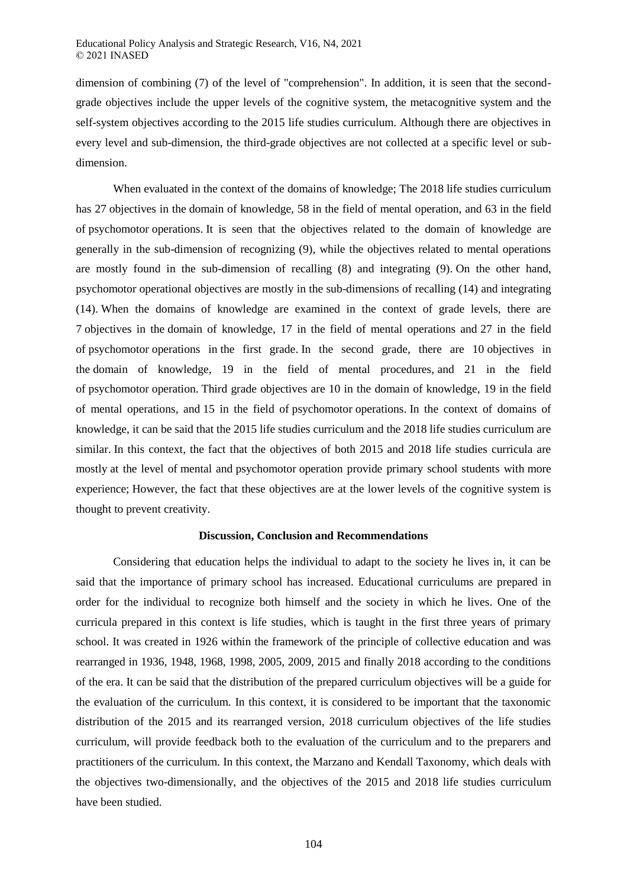dimension of combining (7) of the level of "comprehension". In addition, it is seen that the secondgrade objectives include the upper levels of the cognitive system, the metacognitive system and the self-system objectives according to the 2015 life studies curriculum. Although there are objectives in every level and sub-dimension, the third-grade objectives are not collected at a specific level or subdimension.

When evaluated in the context of the domains of knowledge; The 2018 life studies curriculum has 27 objectives in the domain of knowledge, 58 in the field of mental operation, and 63 in the field of psychomotor operations. It is seen that the objectives related to the domain of knowledge are generally in the sub-dimension of recognizing (9), while the objectives related to mental operations are mostly found in the sub-dimension of recalling (8) and integrating (9). On the other hand, psychomotor operational objectives are mostly in the sub-dimensions of recalling (14) and integrating (14). When the domains of knowledge are examined in the context of grade levels, there are 7 objectives in the domain of knowledge, 17 in the field of mental operations and 27 in the field of psychomotor operations in the first grade. In the second grade, there are 10 objectives in the domain of knowledge, 19 in the field of mental procedures, and 21 in the field of psychomotor operation. Third grade objectives are 10 in the domain of knowledge, 19 in the field of mental operations, and 15 in the field of psychomotor operations. In the context of domains of knowledge, it can be said that the 2015 life studies curriculum and the 2018 life studies curriculum are similar. In this context, the fact that the objectives of both 2015 and 2018 life studies curricula are mostly at the level of mental and psychomotor operation provide primary school students with more experience; However, the fact that these objectives are at the lower levels of the cognitive system is thought to prevent creativity.

#### **Discussion, Conclusion and Recommendations**

Considering that education helps the individual to adapt to the society he lives in, it can be said that the importance of primary school has increased. Educational curriculums are prepared in order for the individual to recognize both himself and the society in which he lives. One of the curricula prepared in this context is life studies, which is taught in the first three years of primary school. It was created in 1926 within the framework of the principle of collective education and was rearranged in 1936, 1948, 1968, 1998, 2005, 2009, 2015 and finally 2018 according to the conditions of the era. It can be said that the distribution of the prepared curriculum objectives will be a guide for the evaluation of the curriculum. In this context, it is considered to be important that the taxonomic distribution of the 2015 and its rearranged version, 2018 curriculum objectives of the life studies curriculum, will provide feedback both to the evaluation of the curriculum and to the preparers and practitioners of the curriculum. In this context, the Marzano and Kendall Taxonomy, which deals with the objectives two-dimensionally, and the objectives of the 2015 and 2018 life studies curriculum have been studied.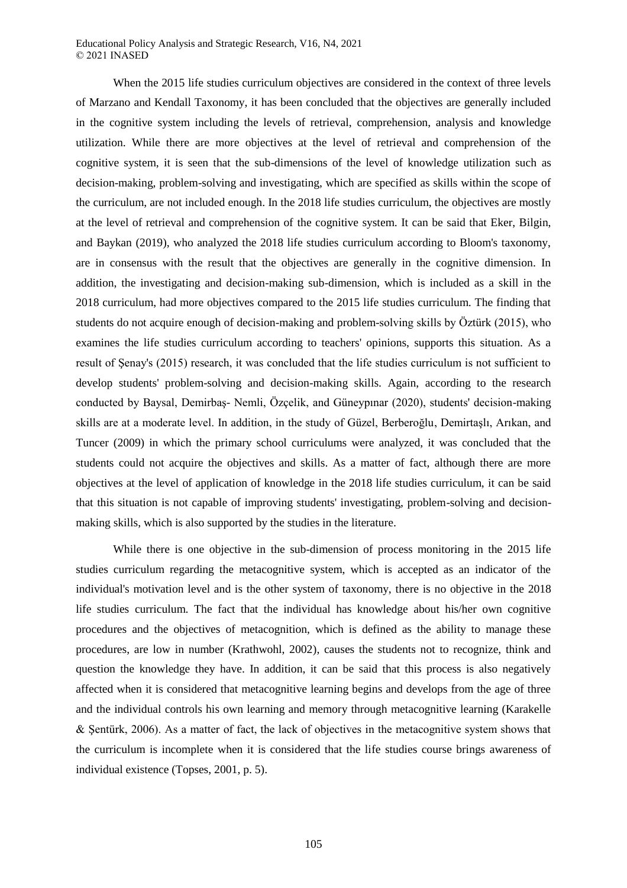When the 2015 life studies curriculum objectives are considered in the context of three levels of Marzano and Kendall Taxonomy, it has been concluded that the objectives are generally included in the cognitive system including the levels of retrieval, comprehension, analysis and knowledge utilization. While there are more objectives at the level of retrieval and comprehension of the cognitive system, it is seen that the sub-dimensions of the level of knowledge utilization such as decision-making, problem-solving and investigating, which are specified as skills within the scope of the curriculum, are not included enough. In the 2018 life studies curriculum, the objectives are mostly at the level of retrieval and comprehension of the cognitive system. It can be said that Eker, Bilgin, and Baykan (2019), who analyzed the 2018 life studies curriculum according to Bloom's taxonomy, are in consensus with the result that the objectives are generally in the cognitive dimension. In addition, the investigating and decision-making sub-dimension, which is included as a skill in the 2018 curriculum, had more objectives compared to the 2015 life studies curriculum. The finding that students do not acquire enough of decision-making and problem-solving skills by Öztürk (2015), who examines the life studies curriculum according to teachers' opinions, supports this situation. As a result of Şenay's (2015) research, it was concluded that the life studies curriculum is not sufficient to develop students' problem-solving and decision-making skills. Again, according to the research conducted by Baysal, Demirbaş- Nemli, Özçelik, and Güneypınar (2020), students' decision-making skills are at a moderate level. In addition, in the study of Güzel, Berberoğlu, Demirtaşlı, Arıkan, and Tuncer (2009) in which the primary school curriculums were analyzed, it was concluded that the students could not acquire the objectives and skills. As a matter of fact, although there are more objectives at the level of application of knowledge in the 2018 life studies curriculum, it can be said that this situation is not capable of improving students' investigating, problem-solving and decisionmaking skills, which is also supported by the studies in the literature.

While there is one objective in the sub-dimension of process monitoring in the 2015 life studies curriculum regarding the metacognitive system, which is accepted as an indicator of the individual's motivation level and is the other system of taxonomy, there is no objective in the 2018 life studies curriculum. The fact that the individual has knowledge about his/her own cognitive procedures and the objectives of metacognition, which is defined as the ability to manage these procedures, are low in number (Krathwohl, 2002), causes the students not to recognize, think and question the knowledge they have. In addition, it can be said that this process is also negatively affected when it is considered that metacognitive learning begins and develops from the age of three and the individual controls his own learning and memory through metacognitive learning (Karakelle & Şentürk, 2006). As a matter of fact, the lack of objectives in the metacognitive system shows that the curriculum is incomplete when it is considered that the life studies course brings awareness of individual existence (Topses, 2001, p. 5).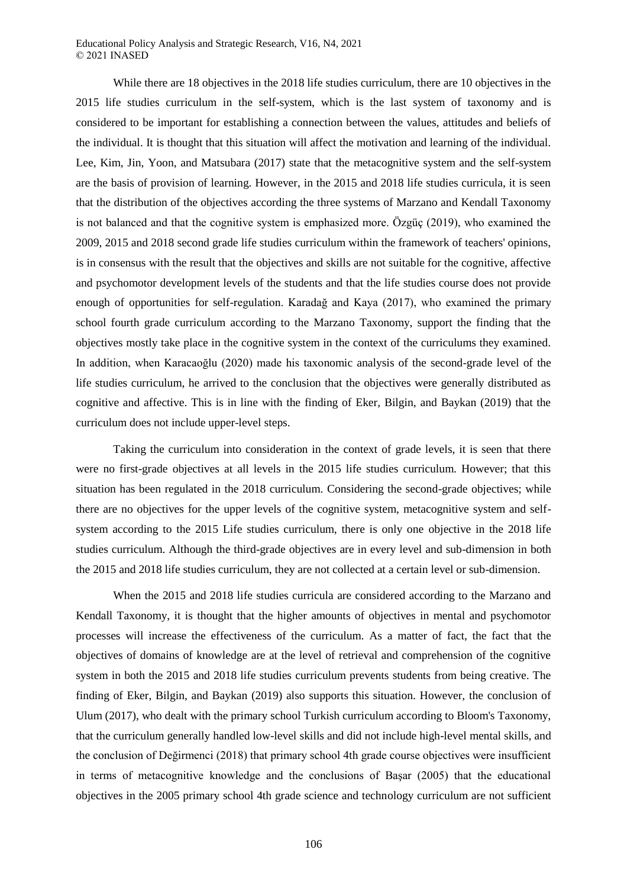While there are 18 objectives in the 2018 life studies curriculum, there are 10 objectives in the 2015 life studies curriculum in the self-system, which is the last system of taxonomy and is considered to be important for establishing a connection between the values, attitudes and beliefs of the individual. It is thought that this situation will affect the motivation and learning of the individual. Lee, Kim, Jin, Yoon, and Matsubara (2017) state that the metacognitive system and the self-system are the basis of provision of learning. However, in the 2015 and 2018 life studies curricula, it is seen that the distribution of the objectives according the three systems of Marzano and Kendall Taxonomy is not balanced and that the cognitive system is emphasized more. Özgüç (2019), who examined the 2009, 2015 and 2018 second grade life studies curriculum within the framework of teachers' opinions, is in consensus with the result that the objectives and skills are not suitable for the cognitive, affective and psychomotor development levels of the students and that the life studies course does not provide enough of opportunities for self-regulation. Karadağ and Kaya (2017), who examined the primary school fourth grade curriculum according to the Marzano Taxonomy, support the finding that the objectives mostly take place in the cognitive system in the context of the curriculums they examined. In addition, when Karacaoğlu (2020) made his taxonomic analysis of the second-grade level of the life studies curriculum, he arrived to the conclusion that the objectives were generally distributed as cognitive and affective. This is in line with the finding of Eker, Bilgin, and Baykan (2019) that the curriculum does not include upper-level steps.

Taking the curriculum into consideration in the context of grade levels, it is seen that there were no first-grade objectives at all levels in the 2015 life studies curriculum. However; that this situation has been regulated in the 2018 curriculum. Considering the second-grade objectives; while there are no objectives for the upper levels of the cognitive system, metacognitive system and selfsystem according to the 2015 Life studies curriculum, there is only one objective in the 2018 life studies curriculum. Although the third-grade objectives are in every level and sub-dimension in both the 2015 and 2018 life studies curriculum, they are not collected at a certain level or sub-dimension.

When the 2015 and 2018 life studies curricula are considered according to the Marzano and Kendall Taxonomy, it is thought that the higher amounts of objectives in mental and psychomotor processes will increase the effectiveness of the curriculum. As a matter of fact, the fact that the objectives of domains of knowledge are at the level of retrieval and comprehension of the cognitive system in both the 2015 and 2018 life studies curriculum prevents students from being creative. The finding of Eker, Bilgin, and Baykan (2019) also supports this situation. However, the conclusion of Ulum (2017), who dealt with the primary school Turkish curriculum according to Bloom's Taxonomy, that the curriculum generally handled low-level skills and did not include high-level mental skills, and the conclusion of Değirmenci (2018) that primary school 4th grade course objectives were insufficient in terms of metacognitive knowledge and the conclusions of Başar (2005) that the educational objectives in the 2005 primary school 4th grade science and technology curriculum are not sufficient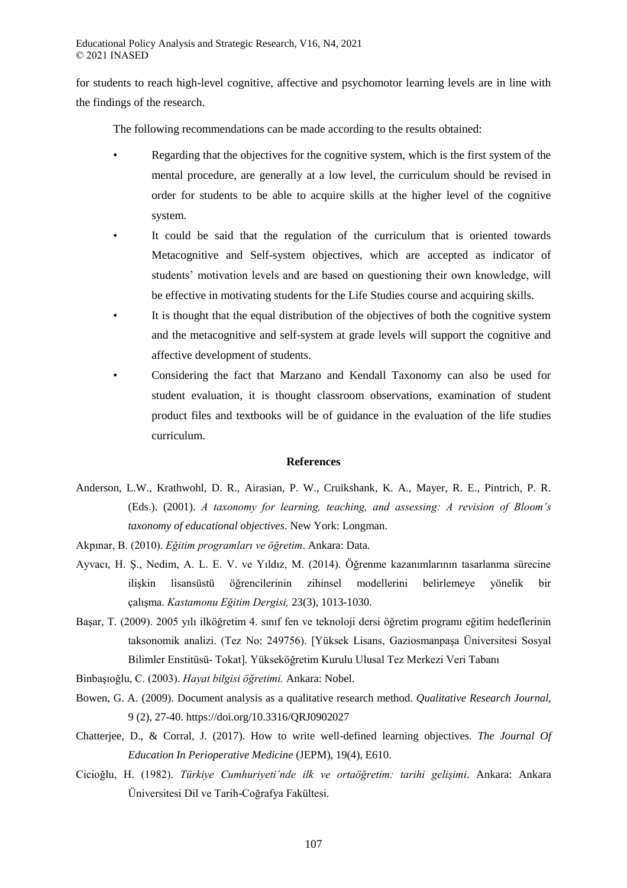for students to reach high-level cognitive, affective and psychomotor learning levels are in line with the findings of the research.

The following recommendations can be made according to the results obtained:

- Regarding that the objectives for the cognitive system, which is the first system of the mental procedure, are generally at a low level, the curriculum should be revised in order for students to be able to acquire skills at the higher level of the cognitive system.
- It could be said that the regulation of the curriculum that is oriented towards Metacognitive and Self-system objectives, which are accepted as indicator of students' motivation levels and are based on questioning their own knowledge, will be effective in motivating students for the Life Studies course and acquiring skills.
- It is thought that the equal distribution of the objectives of both the cognitive system and the metacognitive and self-system at grade levels will support the cognitive and affective development of students.
- Considering the fact that Marzano and Kendall Taxonomy can also be used for student evaluation, it is thought classroom observations, examination of student product files and textbooks will be of guidance in the evaluation of the life studies curriculum.

#### **References**

- Anderson, L.W., Krathwohl, D. R., Airasian, P. W., Cruikshank, K. A., Mayer, R. E., Pintrich, P. R. (Eds.). (2001). *A taxonomy for learning, teaching, and assessing: A revision of Bloom's taxonomy of educational objectives*. New York: Longman.
- Akpınar, B. (2010). *Eğitim programları ve öğretim*. Ankara: Data.
- Ayvacı, H. Ş., Nedim, A. L. E. V. ve Yıldız, M. (2014). Öğrenme kazanımlarının tasarlanma sürecine ilişkin lisansüstü öğrencilerinin zihinsel modellerini belirlemeye yönelik bir çalışma. *Kastamonu Eğitim Dergisi,* 23(3), 1013-1030.
- Başar, T. (2009). 2005 yılı ilköğretim 4. sınıf fen ve teknoloji dersi öğretim programı eğitim hedeflerinin taksonomik analizi. (Tez No: 249756). [Yüksek Lisans, Gaziosmanpaşa Üniversitesi Sosyal Bilimler Enstitüsü- Tokat]. Yükseköğretim Kurulu Ulusal Tez Merkezi Veri Tabanı

Binbaşıoğlu, C. (2003). *Hayat bilgisi öğretimi.* Ankara: Nobel.

- Bowen, G. A. (2009). Document analysis as a qualitative research method. *Qualitative Research Journal,* 9 (2), 27-40. https://doi.org/10.3316/QRJ0902027
- Chatterjee, D., & Corral, J. (2017). How to write well-defined learning objectives. *The Journal Of Education In Perioperative Medicine* (JEPM), 19(4), E610.
- Cicioğlu, H. (1982). *Türkiye Cumhuriyeti'nde ilk ve ortaöğretim: tarihi gelişimi*. Ankara: Ankara Üniversitesi Dil ve Tarih-Coğrafya Fakültesi.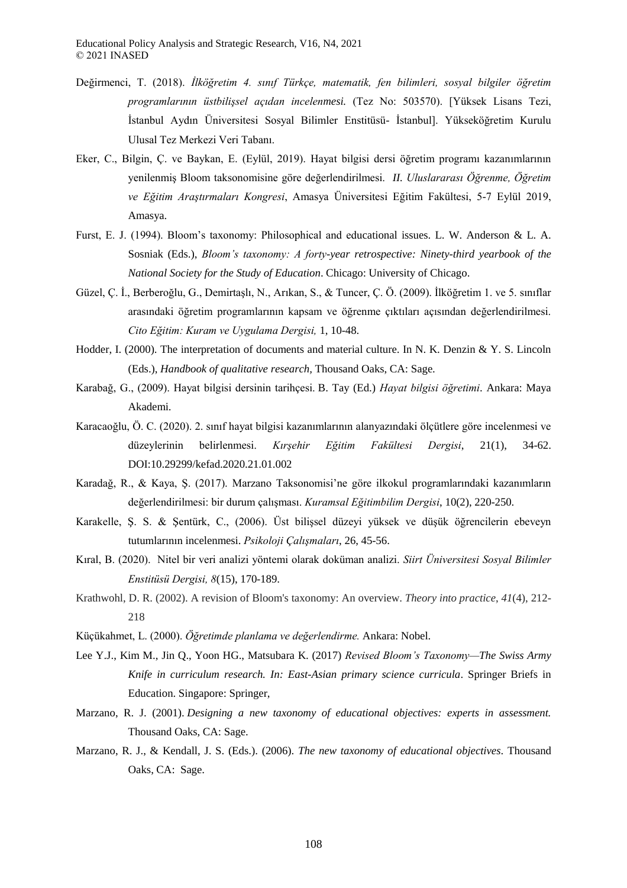- Değirmenci, T. (2018). *İlköğretim 4. sınıf Türkçe, matematik, fen bilimleri, sosyal bilgiler öğretim programlarının üstbilişsel açıdan incelenmesi.* (Tez No: 503570). [Yüksek Lisans Tezi, İstanbul Aydın Üniversitesi Sosyal Bilimler Enstitüsü- İstanbul]. Yükseköğretim Kurulu Ulusal Tez Merkezi Veri Tabanı.
- Eker, C., Bilgin, Ç. ve Baykan, E. (Eylül, 2019). Hayat bilgisi dersi öğretim programı kazanımlarının yenilenmiş Bloom taksonomisine göre değerlendirilmesi. *II. Uluslararası Öğrenme, Öğretim ve Eğitim Araştırmaları Kongresi*, Amasya Üniversitesi Eğitim Fakültesi, 5-7 Eylül 2019, Amasya.
- Furst, E. J. (1994). Bloom's taxonomy: Philosophical and educational issues. L. W. Anderson & L. A. Sosniak (Eds.), *Bloom's taxonomy: A forty-year retrospective: Ninety-third yearbook of the National Society for the Study of Education*. Chicago: University of Chicago.
- Güzel, Ç. İ., Berberoğlu, G., Demirtaşlı, N., Arıkan, S., & Tuncer, Ç. Ö. (2009). İlköğretim 1. ve 5. sınıflar arasındaki öğretim programlarının kapsam ve öğrenme çıktıları açısından değerlendirilmesi. *Cito Eğitim: Kuram ve Uygulama Dergisi,* 1, 10-48.
- Hodder, I. (2000). The interpretation of documents and material culture. In N. K. Denzin & Y. S. Lincoln (Eds.), *Handbook of qualitative research,* Thousand Oaks, CA: Sage.
- Karabağ, G., (2009). Hayat bilgisi dersinin tarihçesi. B. Tay (Ed.) *Hayat bilgisi öğretimi*. Ankara: Maya Akademi.
- Karacaoğlu, Ö. C. (2020). 2. sınıf hayat bilgisi kazanımlarının alanyazındaki ölçütlere göre incelenmesi ve düzeylerinin belirlenmesi. *Kırşehir Eğitim Fakültesi Dergisi*, 21(1), 34-62. DOI:10.29299/kefad.2020.21.01.002
- Karadağ, R., & Kaya, Ş. (2017). Marzano Taksonomisi'ne göre ilkokul programlarındaki kazanımların değerlendirilmesi: bir durum çalışması. *Kuramsal Eğitimbilim Dergisi*, 10(2), 220-250.
- Karakelle, Ş. S. & Şentürk, C., (2006). Üst bilişsel düzeyi yüksek ve düşük öğrencilerin ebeveyn tutumlarının incelenmesi. *Psikoloji Çalışmaları*, 26, 45-56.
- Kıral, B. (2020). Nitel bir veri analizi yöntemi olarak doküman analizi. *Siirt Üniversitesi Sosyal Bilimler Enstitüsü Dergisi, 8*(15), 170-189.
- Krathwohl, D. R. (2002). A revision of Bloom's taxonomy: An overview. *Theory into practice*, *41*(4), 212- 218
- Küçükahmet, L. (2000). *Öğretimde planlama ve değerlendirme.* Ankara: Nobel.
- Lee Y.J., Kim M., Jin Q., Yoon HG., Matsubara K. (2017) *Revised Bloom's Taxonomy—The Swiss Army Knife in curriculum research. In: East-Asian primary science curricula*. Springer Briefs in Education. Singapore: Springer,
- Marzano, R. J. (2001). *Designing a new taxonomy of educational objectives: experts in assessment.* Thousand Oaks, CA: Sage.
- Marzano, R. J., & Kendall, J. S. (Eds.). (2006). *The new taxonomy of educational objectives*. Thousand Oaks, CA: Sage.